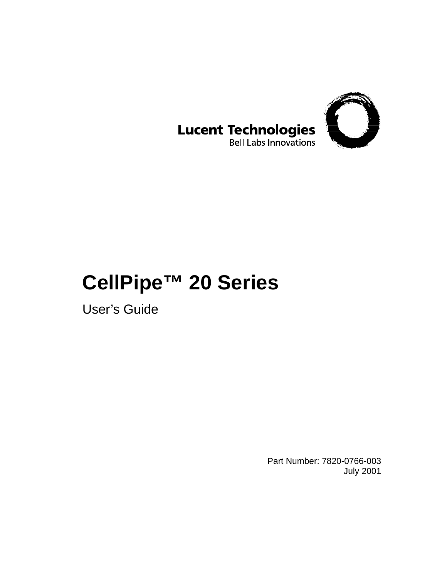

#### **Lucent Technologies Bell Labs Innovations**

## **CellPipe™ 20 Series**

User's Guide

Part Number: 7820-0766-003 July 2001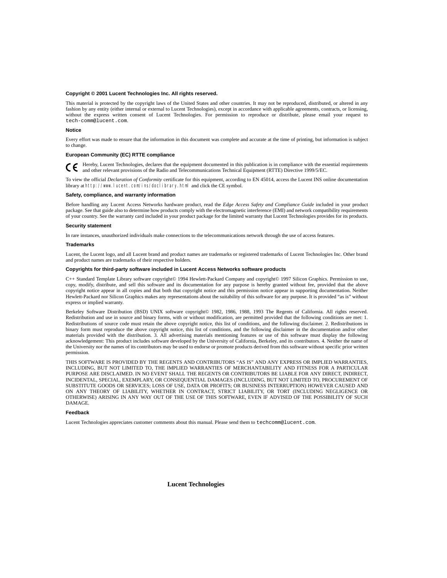#### **Copyright © 2001 Lucent Technologies Inc. All rights reserved.**

This material is protected by the copyright laws of the United States and other countries. It may not be reproduced, distributed, or altered in any fashion by any entity (either internal or external to Lucent Technologies), except in accordance with applicable agreements, contracts, or licensing, without the express written consent of Lucent Technologies. For permission to reproduce or distribute, please email your request to tech-comm@lucent.com.

#### **Notice**

Every effort was made to ensure that the information in this document was complete and accurate at the time of printing, but information is subject to change.

#### **European Community (EC) RTTE compliance**

Hereby, Lucent Technologies, declares that the equipment documented in this publication is in compliance with the essential requirements € and other relevant provisions of the Radio and Telecommunications Technical Equipment (RTTE) Directive 1999/5/EC.

To view the official *Declaration of Conformity* certificate for this equipment, according to EN 45014, access the Lucent INS online documentation library at http://www.lucent.com/ins/doclibrary.html and click the CE symbol.

#### **Safety, compliance, and warranty information**

Before handling any Lucent Access Networks hardware product, read the *Edge Access Safety and Compliance Guide* included in your product package. See that guide also to determine how products comply with the electromagnetic interference (EMI) and network compatibility requirements of your country. See the warranty card included in your product package for the limited warranty that Lucent Technologies provides for its products.

#### **Security statement**

In rare instances, unauthorized individuals make connections to the telecommunications network through the use of access features.

#### **Trademarks**

Lucent, the Lucent logo, and all Lucent brand and product names are trademarks or registered trademarks of Lucent Technologies Inc. Other brand and product names are trademarks of their respective holders.

#### **Copyrights for third-party software included in Lucent Access Networks software products**

C++ Standard Template Library software copyright© 1994 Hewlett-Packard Company and copyright© 1997 Silicon Graphics. Permission to use, copy, modify, distribute, and sell this software and its documentation for any purpose is hereby granted without fee, provided that the above copyright notice appear in all copies and that both that copyright notice and this permission notice appear in supporting documentation. Neither Hewlett-Packard nor Silicon Graphics makes any representations about the suitability of this software for any purpose. It is provided "as is" without express or implied warranty.

Berkeley Software Distribution (BSD) UNIX software copyright© 1982, 1986, 1988, 1993 The Regents of California. All rights reserved. Redistribution and use in source and binary forms, with or without modification, are permitted provided that the following conditions are met: 1. Redistributions of source code must retain the above copyright notice, this list of conditions, and the following disclaimer. 2. Redistributions in binary form must reproduce the above copyright notice, this list of conditions, and the following disclaimer in the documentation and/or other materials provided with the distribution. 3. All advertising materials mentioning features or use of this software must display the following acknowledgement: This product includes software developed by the University of California, Berkeley, and its contributors. 4. Neither the name of the University nor the names of its contributors may be used to endorse or promote products derived from this software without specific prior written permission.

THIS SOFTWARE IS PROVIDED BY THE REGENTS AND CONTRIBUTORS "AS IS" AND ANY EXPRESS OR IMPLIED WARRANTIES, INCLUDING, BUT NOT LIMITED TO, THE IMPLIED WARRANTIES OF MERCHANTABILITY AND FITNESS FOR A PARTICULAR PURPOSE ARE DISCLAIMED. IN NO EVENT SHALL THE REGENTS OR CONTRIBUTORS BE LIABLE FOR ANY DIRECT, INDIRECT, INCIDENTAL, SPECIAL, EXEMPLARY, OR CONSEQUENTIAL DAMAGES (INCLUDING, BUT NOT LIMITED TO, PROCUREMENT OF SUBSTITUTE GOODS OR SERVICES; LOSS OF USE, DATA OR PROFITS; OR BUSINESS INTERRUPTION) HOWEVER CAUSED AND ON ANY THEORY OF LIABILITY, WHETHER IN CONTRACT, STRICT LIABILITY, OR TORT (INCLUDING NEGLIGENCE OR OTHERWISE) ARISING IN ANY WAY OUT OF THE USE OF THIS SOFTWARE, EVEN IF ADVISED OF THE POSSIBILITY OF SUCH DAMAGE.

#### **Feedback**

Lucent Technologies appreciates customer comments about this manual. Please send them to techcomm@lucent.com.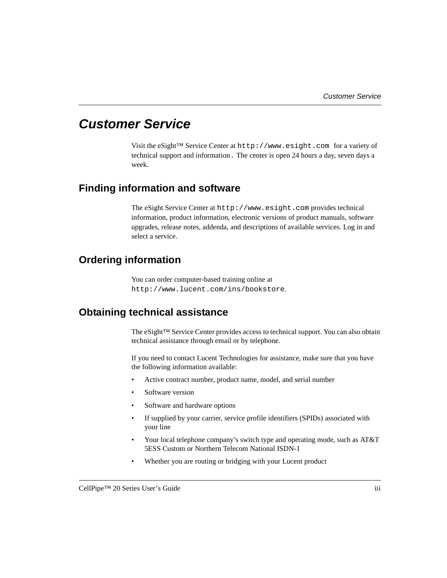### <span id="page-2-0"></span>**Customer Service**

Visit the eSight™ Service Center at http://www.esight.com for a variety of technical support and information. The center is open 24 hours a day, seven days a week.

#### <span id="page-2-1"></span>**Finding information and software**

The eSight Service Center at http://www.esight.com provides technical information, product information, electronic versions of product manuals, software upgrades, release notes, addenda, and descriptions of available services. Log in and select a service.

#### <span id="page-2-2"></span>**Ordering information**

You can order computer-based training online at http://www.lucent.com/ins/bookstore.

#### <span id="page-2-3"></span>**Obtaining technical assistance**

The eSight™ Service Center provides access to technical support. You can also obtain technical assistance through email or by telephone.

If you need to contact Lucent Technologies for assistance, make sure that you have the following information available:

- Active contract number, product name, model, and serial number
- Software version
- Software and hardware options
- If supplied by your carrier, service profile identifiers (SPIDs) associated with your line
- Your local telephone company's switch type and operating mode, such as AT&T 5ESS Custom or Northern Telecom National ISDN-1
- Whether you are routing or bridging with your Lucent product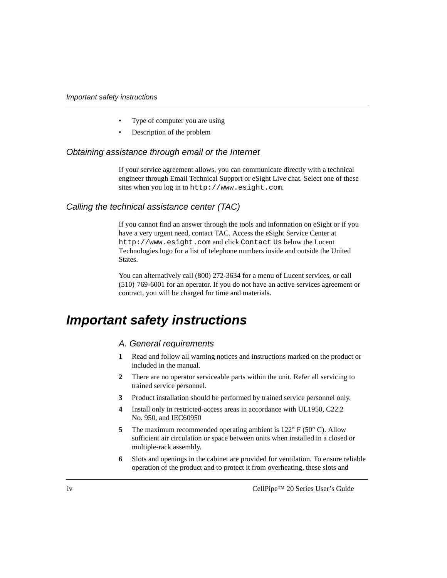- Type of computer you are using
- Description of the problem

#### Obtaining assistance through email or the Internet

If your service agreement allows, you can communicate directly with a technical engineer through Email Technical Support or eSight Live chat. Select one of these sites when you log in to http://www.esight.com.

#### Calling the technical assistance center (TAC)

If you cannot find an answer through the tools and information on eSight or if you have a very urgent need, contact TAC. Access the eSight Service Center at http://www.esight.com and click Contact Us below the Lucent Technologies logo for a list of telephone numbers inside and outside the United States.

You can alternatively call (800) 272-3634 for a menu of Lucent services, or call (510) 769-6001 for an operator. If you do not have an active services agreement or contract, you will be charged for time and materials.

### <span id="page-3-0"></span>**Important safety instructions**

#### A. General requirements

- **1** Read and follow all warning notices and instructions marked on the product or included in the manual.
- **2** There are no operator serviceable parts within the unit. Refer all servicing to trained service personnel.
- **3** Product installation should be performed by trained service personnel only.
- **4** Install only in restricted-access areas in accordance with UL1950, C22.2 No. 950, and IEC60950
- **5** The maximum recommended operating ambient is 122° F (50° C). Allow sufficient air circulation or space between units when installed in a closed or multiple-rack assembly.
- **6** Slots and openings in the cabinet are provided for ventilation. To ensure reliable operation of the product and to protect it from overheating, these slots and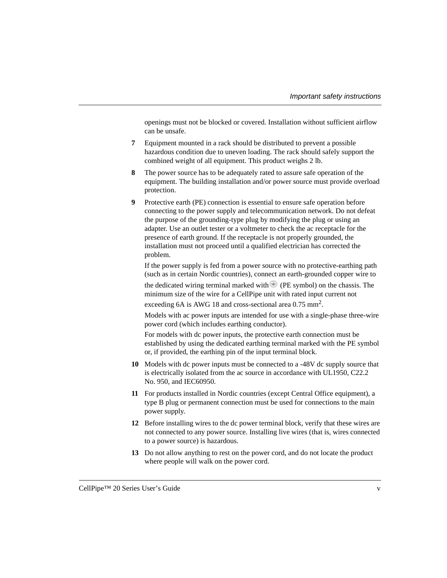openings must not be blocked or covered. Installation without sufficient airflow can be unsafe.

- **7** Equipment mounted in a rack should be distributed to prevent a possible hazardous condition due to uneven loading. The rack should safely support the combined weight of all equipment. This product weighs 2 lb.
- **8** The power source has to be adequately rated to assure safe operation of the equipment. The building installation and/or power source must provide overload protection.
- **9** Protective earth (PE) connection is essential to ensure safe operation before connecting to the power supply and telecommunication network. Do not defeat the purpose of the grounding-type plug by modifying the plug or using an adapter. Use an outlet tester or a voltmeter to check the ac receptacle for the presence of earth ground. If the receptacle is not properly grounded, the installation must not proceed until a qualified electrician has corrected the problem.

If the power supply is fed from a power source with no protective-earthing path (such as in certain Nordic countries), connect an earth-grounded copper wire to

the dedicated wiring terminal marked with  $\blacksquare$  (PE symbol) on the chassis. The minimum size of the wire for a CellPipe unit with rated input current not

exceeding 6A is AWG 18 and cross-sectional area 0.75 mm<sup>2</sup>.

Models with ac power inputs are intended for use with a single-phase three-wire power cord (which includes earthing conductor).

For models with dc power inputs, the protective earth connection must be established by using the dedicated earthing terminal marked with the PE symbol or, if provided, the earthing pin of the input terminal block.

- **10** Models with dc power inputs must be connected to a -48V dc supply source that is electrically isolated from the ac source in accordance with UL1950, C22.2 No. 950, and IEC60950.
- **11** For products installed in Nordic countries (except Central Office equipment), a type B plug or permanent connection must be used for connections to the main power supply.
- **12** Before installing wires to the dc power terminal block, verify that these wires are not connected to any power source. Installing live wires (that is, wires connected to a power source) is hazardous.
- **13** Do not allow anything to rest on the power cord, and do not locate the product where people will walk on the power cord.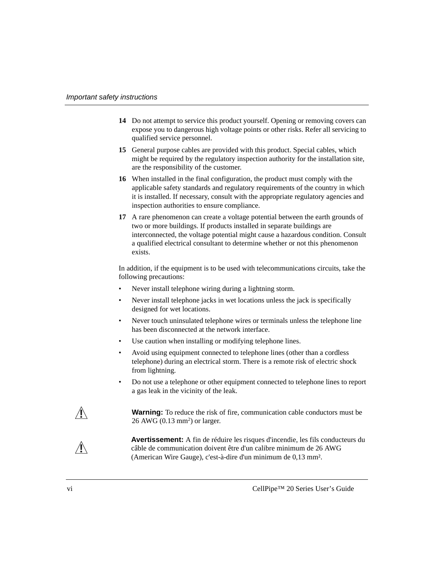- **14** Do not attempt to service this product yourself. Opening or removing covers can expose you to dangerous high voltage points or other risks. Refer all servicing to qualified service personnel.
- **15** General purpose cables are provided with this product. Special cables, which might be required by the regulatory inspection authority for the installation site, are the responsibility of the customer.
- **16** When installed in the final configuration, the product must comply with the applicable safety standards and regulatory requirements of the country in which it is installed. If necessary, consult with the appropriate regulatory agencies and inspection authorities to ensure compliance.
- **17** A rare phenomenon can create a voltage potential between the earth grounds of two or more buildings. If products installed in separate buildings are interconnected, the voltage potential might cause a hazardous condition. Consult a qualified electrical consultant to determine whether or not this phenomenon exists.

In addition, if the equipment is to be used with telecommunications circuits, take the following precautions:

- Never install telephone wiring during a lightning storm.
- Never install telephone jacks in wet locations unless the jack is specifically designed for wet locations.
- Never touch uninsulated telephone wires or terminals unless the telephone line has been disconnected at the network interface.
- Use caution when installing or modifying telephone lines.
- Avoid using equipment connected to telephone lines (other than a cordless telephone) during an electrical storm. There is a remote risk of electric shock from lightning.
- Do not use a telephone or other equipment connected to telephone lines to report a gas leak in the vicinity of the leak.

**!**

**/ Warning:** To reduce the risk of fire, communication cable conductors must be  $26$  AWG (0.13 mm<sup>2</sup>) or larger.

> **Avertissement:** A fin de réduire les risques d'incendie, les fils conducteurs du câble de communication doivent être d'un calibre minimum de 26 AWG (American Wire Gauge), c'est-à-dire d'un minimum de 0,13 mm².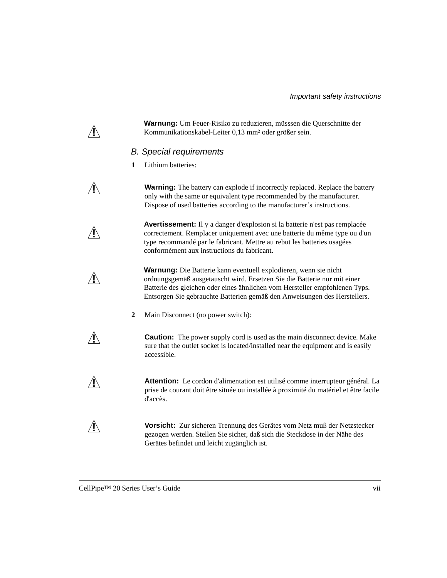**Warnung:** Um Feuer-Risiko zu reduzieren, müsssen die Querschnitte der Kommunikationskabel-Leiter 0,13 mm² oder größer sein.

#### B. Special requirements

**1** Lithium batteries:

**!**

**!**

**!**

**Warning:** The battery can explode if incorrectly replaced. Replace the battery only with the same or equivalent type recommended by the manufacturer. Dispose of used batteries according to the manufacturer's instructions.

**Avertissement:** Il y a danger d'explosion si la batterie n'est pas remplacée correctement. Remplacer uniquement avec une batterie du même type ou d'un type recommandé par le fabricant. Mettre au rebut les batteries usagées conformément aux instructions du fabricant.

**Warnung:** Die Batterie kann eventuell explodieren, wenn sie nicht ordnungsgemäß ausgetauscht wird. Ersetzen Sie die Batterie nur mit einer Batterie des gleichen oder eines ähnlichen vom Hersteller empfohlenen Typs. Entsorgen Sie gebrauchte Batterien gemäß den Anweisungen des Herstellers.

**2** Main Disconnect (no power switch):

**Caution:** The power supply cord is used as the main disconnect device. Make sure that the outlet socket is located/installed near the equipment and is easily accessible.

**! Attention:** Le cordon d'alimentation est utilisé comme interrupteur général. La prise de courant doit être située ou installée à proximité du matériel et être facile d'accès.

**! Vorsicht:** Zur sicheren Trennung des Gerätes vom Netz muß der Netzstecker gezogen werden. Stellen Sie sicher, daß sich die Steckdose in der Nähe des Gerätes befindet und leicht zugänglich ist.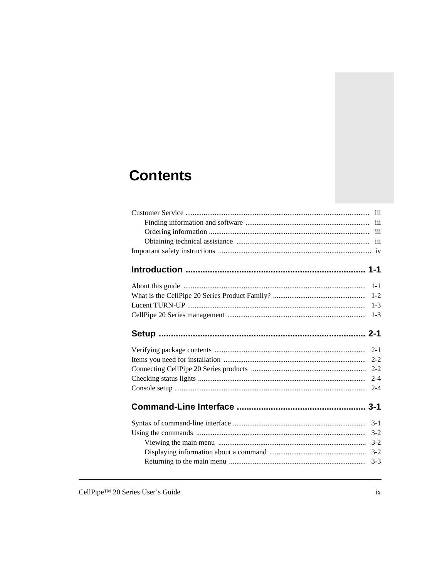## **Contents**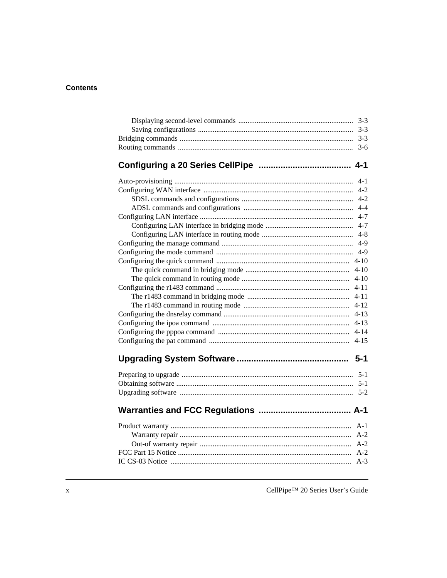**Contents** 

#### 

| $4-1$<br>$4 - 2$ |
|------------------|
| $4 - 2$          |
| $4 - 4$          |
| $4 - 7$          |
| $4 - 7$          |
| $4 - 8$          |
| $4-9$            |
|                  |
|                  |
| $4 - 10$         |
|                  |
|                  |
|                  |
|                  |
|                  |
|                  |
|                  |
|                  |
|                  |
|                  |
|                  |
|                  |
|                  |
|                  |
|                  |
|                  |
|                  |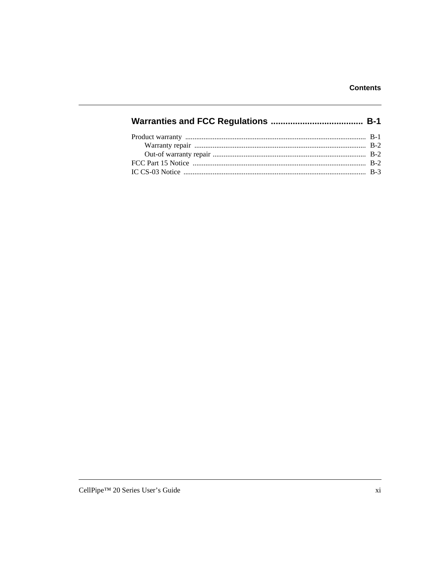|--|--|--|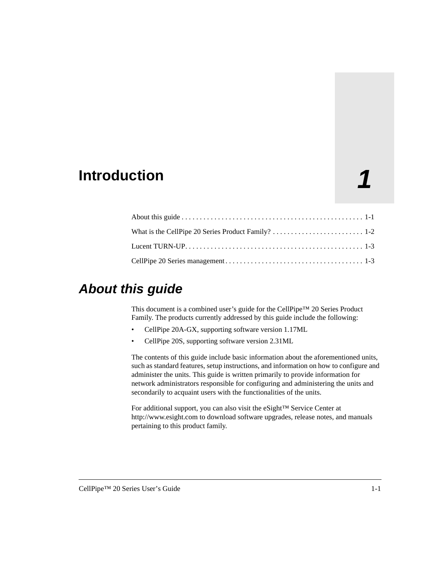### <span id="page-12-0"></span>**1 Introduction**

### <span id="page-12-1"></span>**About this guide**

This document is a combined user's guide for the CellPipe™ 20 Series Product Family. The products currently addressed by this guide include the following:

- CellPipe 20A-GX, supporting software version 1.17ML
- CellPipe 20S, supporting software version 2.31ML

The contents of this guide include basic information about the aforementioned units, such as standard features, setup instructions, and information on how to configure and administer the units. This guide is written primarily to provide information for network administrators responsible for configuring and administering the units and secondarily to acquaint users with the functionalities of the units.

For additional support, you can also visit the eSight™ Service Center at http://www.esight.com to download software upgrades, release notes, and manuals pertaining to this product family.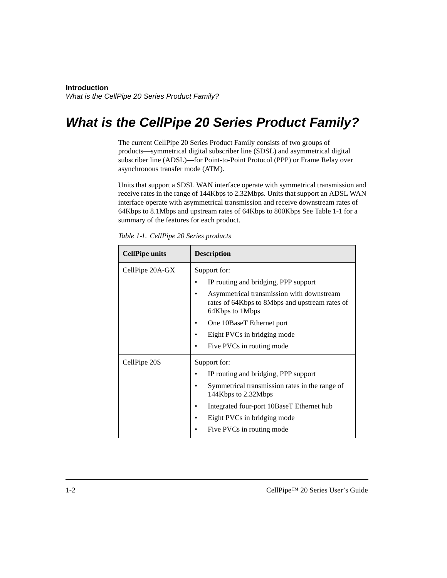### <span id="page-13-0"></span>**What is the CellPipe 20 Series Product Family?**

The current CellPipe 20 Series Product Family consists of two groups of products—symmetrical digital subscriber line (SDSL) and asymmetrical digital subscriber line (ADSL)—for Point-to-Point Protocol (PPP) or Frame Relay over asynchronous transfer mode (ATM).

Units that support a SDSL WAN interface operate with symmetrical transmission and receive rates in the range of 144Kbps to 2.32Mbps. Units that support an ADSL WAN interface operate with asymmetrical transmission and receive downstream rates of 64Kbps to 8.1Mbps and upstream rates of 64Kbps to 800Kbps See [Table 1-1](#page-13-1) for a summary of the features for each product.

<span id="page-13-1"></span>*Table 1-1. CellPipe 20 Series products*

| <b>CellPipe units</b> | <b>Description</b>                                                                                             |  |
|-----------------------|----------------------------------------------------------------------------------------------------------------|--|
| CellPipe 20A-GX       | Support for:                                                                                                   |  |
|                       | IP routing and bridging, PPP support                                                                           |  |
|                       | Asymmetrical transmission with downstream<br>rates of 64Kbps to 8Mbps and upstream rates of<br>64Kbps to 1Mbps |  |
|                       | One 10BaseT Ethernet port                                                                                      |  |
|                       | Eight PVCs in bridging mode                                                                                    |  |
|                       | Five PVCs in routing mode                                                                                      |  |
| CellPipe 20S          | Support for:                                                                                                   |  |
|                       | IP routing and bridging, PPP support                                                                           |  |
|                       | Symmetrical transmission rates in the range of<br>144Kbps to 2.32Mbps                                          |  |
|                       | Integrated four-port 10BaseT Ethernet hub                                                                      |  |
|                       | Eight PVCs in bridging mode                                                                                    |  |
|                       | Five PVCs in routing mode                                                                                      |  |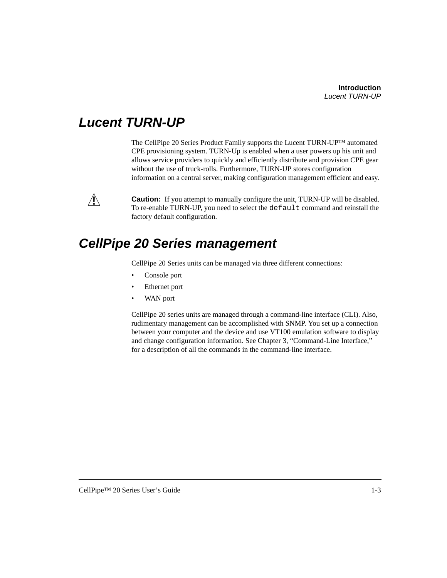### <span id="page-14-0"></span>**Lucent TURN-UP**

The CellPipe 20 Series Product Family supports the Lucent TURN-UP™ automated CPE provisioning system. TURN-Up is enabled when a user powers up his unit and allows service providers to quickly and efficiently distribute and provision CPE gear without the use of truck-rolls. Furthermore, TURN-UP stores configuration information on a central server, making configuration management efficient and easy.



 $\sqrt{\parallel}$  **Caution:** If you attempt to manually configure the unit, TURN-UP will be disabled. To re-enable TURN-UP, you need to select the default command and reinstall the factory default configuration.

### <span id="page-14-1"></span>**CellPipe 20 Series management**

CellPipe 20 Series units can be managed via three different connections:

- Console port
- Ethernet port
- WAN port

CellPipe 20 series units are managed through a command-line interface (CLI). Also, rudimentary management can be accomplished with SNMP. You set up a connection between your computer and the device and use VT100 emulation software to display and change configuration information. See [Chapter 3, "Command-Line Interface,"](#page-22-2) for a description of all the commands in the command-line interface.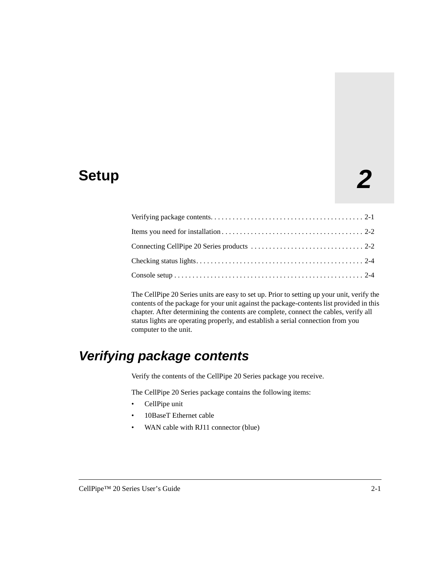# **2 Setup**

The CellPipe 20 Series units are easy to set up. Prior to setting up your unit, verify the contents of the package for your unit against the package-contents list provided in this chapter. After determining the contents are complete, connect the cables, verify all status lights are operating properly, and establish a serial connection from you computer to the unit.

### <span id="page-16-0"></span>**Verifying package contents**

Verify the contents of the CellPipe 20 Series package you receive.

The CellPipe 20 Series package contains the following items:

- CellPipe unit
- 10BaseT Ethernet cable
- WAN cable with RJ11 connector (blue)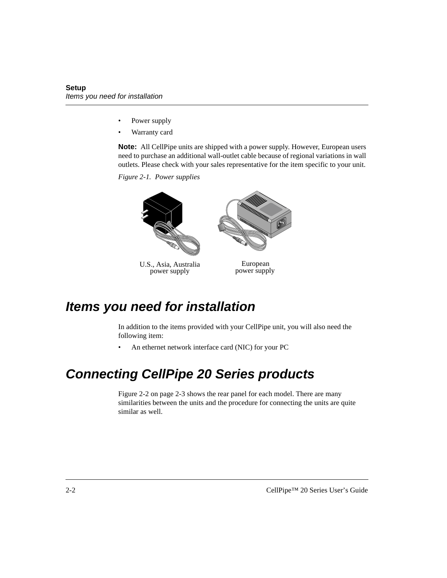- Power supply
- Warranty card

**Note:** All CellPipe units are shipped with a power supply. However, European users need to purchase an additional wall-outlet cable because of regional variations in wall outlets. Please check with your sales representative for the item specific to your unit.

*Figure 2-1. Power supplies*



U.S., Asia, Australia power supply

European power supply

### <span id="page-17-0"></span>**Items you need for installation**

In addition to the items provided with your CellPipe unit, you will also need the following item:

• An ethernet network interface card (NIC) for your PC

### <span id="page-17-1"></span>**Connecting CellPipe 20 Series products**

[Figure 2-2 on page 2-3](#page-18-0) shows the rear panel for each model. There are many similarities between the units and the procedure for connecting the units are quite similar as well.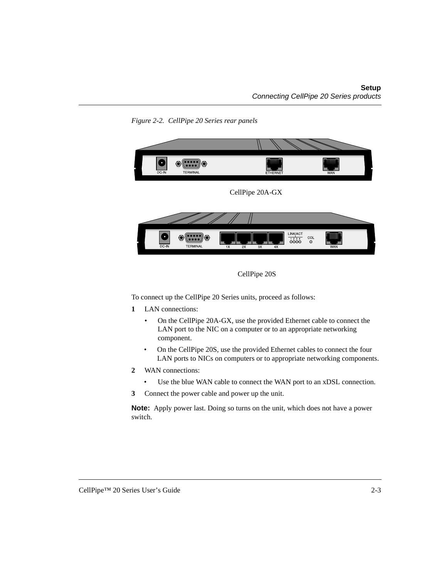

<span id="page-18-0"></span>*Figure 2-2. CellPipe 20 Series rear panels*



To connect up the CellPipe 20 Series units, proceed as follows:

- **1** LAN connections:
	- On the CellPipe 20A-GX, use the provided Ethernet cable to connect the LAN port to the NIC on a computer or to an appropriate networking component.
	- On the CellPipe 20S, use the provided Ethernet cables to connect the four LAN ports to NICs on computers or to appropriate networking components.
- **2** WAN connections:
	- Use the blue WAN cable to connect the WAN port to an xDSL connection.
- **3** Connect the power cable and power up the unit.

**Note:** Apply power last. Doing so turns on the unit, which does not have a power switch.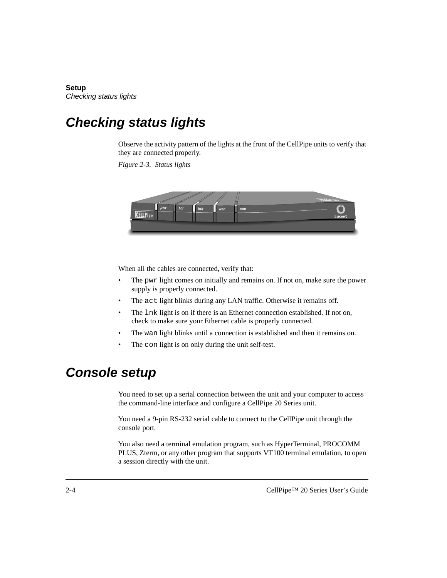### <span id="page-19-0"></span>**Checking status lights**

Observe the activity pattern of the lights at the front of the CellPipe units to verify that they are connected properly.

*Figure 2-3. Status lights*



When all the cables are connected, verify that:

- The pwr light comes on initially and remains on. If not on, make sure the power supply is properly connected.
- The act light blinks during any LAN traffic. Otherwise it remains off*.*
- The lnk light is on if there is an Ethernet connection established. If not on, check to make sure your Ethernet cable is properly connected.
- The wan light blinks until a connection is established and then it remains on.
- The con light is on only during the unit self-test.

### <span id="page-19-1"></span>**Console setup**

You need to set up a serial connection between the unit and your computer to access the command-line interface and configure a CellPipe 20 Series unit.

You need a 9-pin RS-232 serial cable to connect to the CellPipe unit through the console port.

You also need a terminal emulation program, such as HyperTerminal, PROCOMM PLUS, Zterm, or any other program that supports VT100 terminal emulation, to open a session directly with the unit.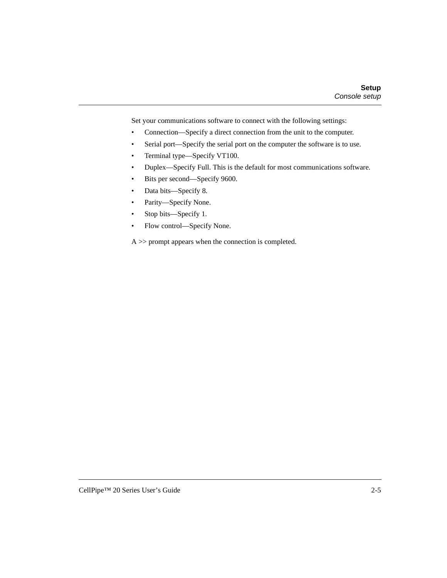Set your communications software to connect with the following settings:

- Connection—Specify a direct connection from the unit to the computer.
- Serial port—Specify the serial port on the computer the software is to use.
- Terminal type—Specify VT100.
- Duplex—Specify Full. This is the default for most communications software.
- Bits per second—Specify 9600.
- Data bits—Specify 8.
- Parity—Specify None.
- Stop bits—Specify 1.
- Flow control—Specify None.

A >> prompt appears when the connection is completed.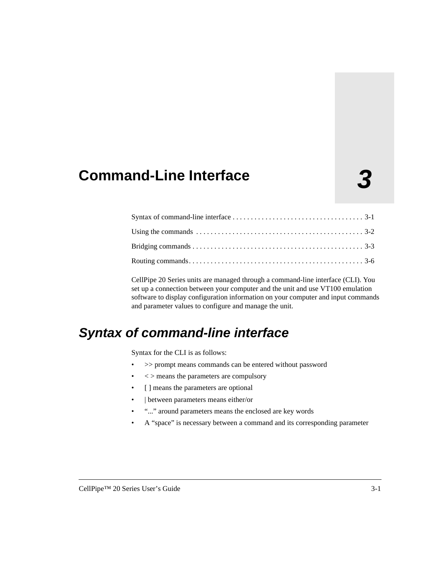### <span id="page-22-2"></span><span id="page-22-0"></span>**3 Command-Line Interface**

CellPipe 20 Series units are managed through a command-line interface (CLI). You set up a connection between your computer and the unit and use VT100 emulation software to display configuration information on your computer and input commands and parameter values to configure and manage the unit.

### <span id="page-22-1"></span>**Syntax of command-line interface**

Syntax for the CLI is as follows:

- >> prompt means commands can be entered without password
- $\bullet \quad \leq$  means the parameters are compulsory
- [ ] means the parameters are optional
- | between parameters means either/or
- "..." around parameters means the enclosed are key words
- A "space" is necessary between a command and its corresponding parameter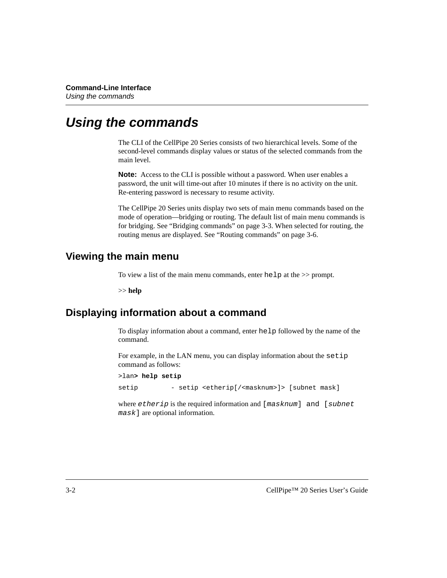### <span id="page-23-0"></span>**Using the commands**

The CLI of the CellPipe 20 Series consists of two hierarchical levels. Some of the second-level commands display values or status of the selected commands from the main level.

**Note:** Access to the CLI is possible without a password. When user enables a password, the unit will time-out after 10 minutes if there is no activity on the unit. Re-entering password is necessary to resume activity.

The CellPipe 20 Series units display two sets of main menu commands based on the mode of operation—bridging or routing. The default list of main menu commands is for bridging. See ["Bridging commands" on page 3-3.](#page-24-3) When selected for routing, the routing menus are displayed. See ["Routing commands" on page 3-6.](#page-27-0)

#### <span id="page-23-1"></span>**Viewing the main menu**

To view a list of the main menu commands, enter help at the >> prompt.

>> **help**

#### <span id="page-23-2"></span>**Displaying information about a command**

To display information about a command, enter help followed by the name of the command.

For example, in the LAN menu, you can display information about the setip command as follows:

```
>lan> help setip
setip - setip <etherip[/<masknum>]> [subnet mask]
```
where  $\epsilon$ therip is the required information and [masknum] and [subnet] mask] are optional information.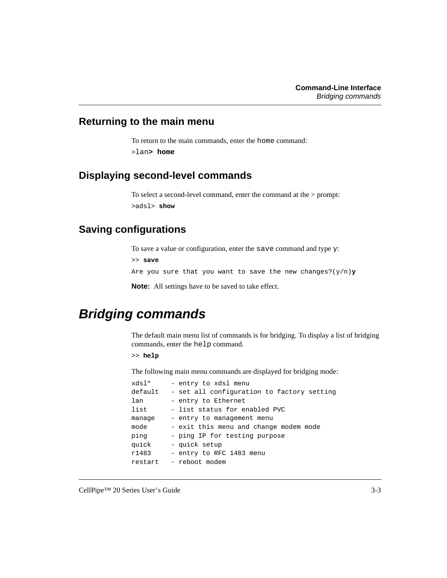#### <span id="page-24-0"></span>**Returning to the main menu**

To return to the main commands, enter the home command: >lan**> home**

#### <span id="page-24-1"></span>**Displaying second-level commands**

To select a second-level command, enter the command at the > prompt: >adsl> **show**

#### <span id="page-24-2"></span>**Saving configurations**

To save a value or configuration, enter the save command and type y:

>> **save**

Are you sure that you want to save the new changes?(y/n)**y**

**Note:** All settings have to be saved to take effect.

### <span id="page-24-3"></span>**Bridging commands**

The default main menu list of commands is for bridging. To display a list of bridging commands, enter the help command.

>> **help**

The following main menu commands are displayed for bridging mode:

| *dsl    | - entry to xdsl menu                       |
|---------|--------------------------------------------|
| default | - set all configuration to factory setting |
| lan     | - entry to Ethernet                        |
| list    | - list status for enabled PVC              |
| manage  | - entry to management menu                 |
| mode    | - exit this menu and change modem mode     |
| ping    | - ping IP for testing purpose              |
| quick   | - quick setup                              |
| r1483   | - entry to RFC 1483 menu                   |
| restart | - reboot modem                             |
|         |                                            |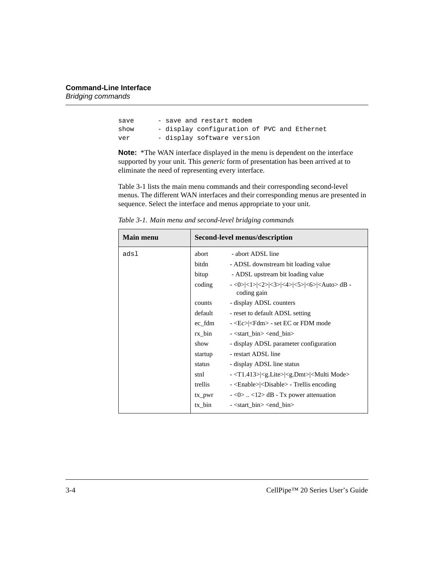| save | - save and restart modem                    |
|------|---------------------------------------------|
| show | - display configuration of PVC and Ethernet |
| ver  | - display software version                  |

**Note:** \*The WAN interface displayed in the menu is dependent on the interface supported by your unit. This *generic* form of presentation has been arrived at to eliminate the need of representing every interface.

[Table 3-1](#page-25-0) lists the main menu commands and their corresponding second-level menus. The different WAN interfaces and their corresponding menus are presented in sequence. Select the interface and menus appropriate to your unit.

| <b>Main menu</b> | Second-level menus/description |                                                                                |
|------------------|--------------------------------|--------------------------------------------------------------------------------|
| adsl             | abort                          | - abort ADSL line                                                              |
|                  | bitdn                          | - ADSL downstream bit loading value                                            |
|                  | bitup                          | - ADSL upstream bit loading value                                              |
|                  | coding                         | - <0> <1> <2> <3> <4> <5> <6>  <auto> dB<br/>coding gain</auto>                |
|                  | counts                         | - display ADSL counters                                                        |
|                  | default                        | - reset to default ADSL setting                                                |
|                  | ec fdm                         | - <ec> <fdm> - set EC or FDM mode</fdm></ec>                                   |
|                  | $rx\_bin$                      | - <start_bin> <end_bin></end_bin></start_bin>                                  |
|                  | show                           | - display ADSL parameter configuration                                         |
|                  | startup                        | - restart ADSL line                                                            |
|                  | status                         | - display ADSL line status                                                     |
|                  | stnl                           | $ \langle$ T1.413> $ \langle$ g.Lite> $ \langle$ g.Dmt> $ \langle$ Multi Mode> |
|                  | trellis                        | - <enable> <disable> - Trellis encoding</disable></enable>                     |
|                  | $tx\_pwr$                      | $-$ <0>  <12> dB - Tx power attenuation                                        |
|                  | $tx_b$ in                      | $-$ <start_bin> <end_bin></end_bin></start_bin>                                |

<span id="page-25-0"></span>*Table 3-1. Main menu and second-level bridging commands*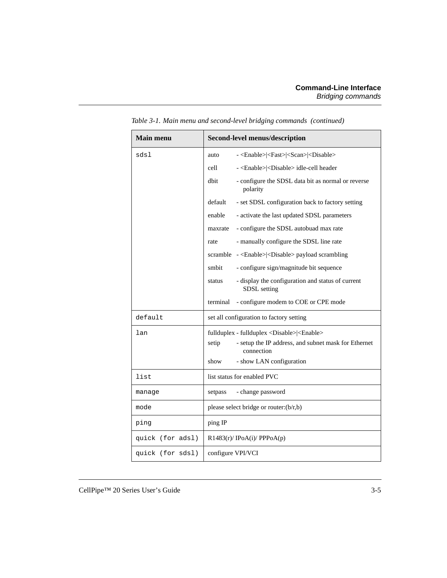| <b>Main menu</b> | <b>Second-level menus/description</b>                                        |  |
|------------------|------------------------------------------------------------------------------|--|
| sdsl             | - <enable> <fast> <scan> <disable><br/>auto</disable></scan></fast></enable> |  |
|                  | cell<br>- <enable> <disable> idle-cell header</disable></enable>             |  |
|                  | dbit<br>- configure the SDSL data bit as normal or reverse<br>polarity       |  |
|                  | - set SDSL configuration back to factory setting<br>default                  |  |
|                  | - activate the last updated SDSL parameters<br>enable                        |  |
|                  | - configure the SDSL autobuad max rate<br>maxrate                            |  |
|                  | - manually configure the SDSL line rate<br>rate                              |  |
|                  | scramble - <enable> <disable> payload scrambling</disable></enable>          |  |
|                  | - configure sign/magnitude bit sequence<br>smbit                             |  |
|                  | - display the configuration and status of current<br>status<br>SDSL setting  |  |
|                  | - configure modem to COE or CPE mode<br>terminal                             |  |
| default          | set all configuration to factory setting                                     |  |
| lan              | fullduplex - fullduplex <disable> <enable></enable></disable>                |  |
|                  | - setup the IP address, and subnet mask for Ethernet<br>setip<br>connection  |  |
|                  | - show LAN configuration<br>show                                             |  |
| list             | list status for enabled PVC                                                  |  |
| manage           | - change password<br>setpass                                                 |  |
| mode             | please select bridge or router:(b/r,b)                                       |  |
| ping             | ping IP                                                                      |  |
| quick (for adsl) | $R1483(r)/$ IPoA(i)/ PPPoA(p)                                                |  |
| quick (for sdsl) | configure VPI/VCI                                                            |  |

*Table 3-1. Main menu and second-level bridging commands (continued)*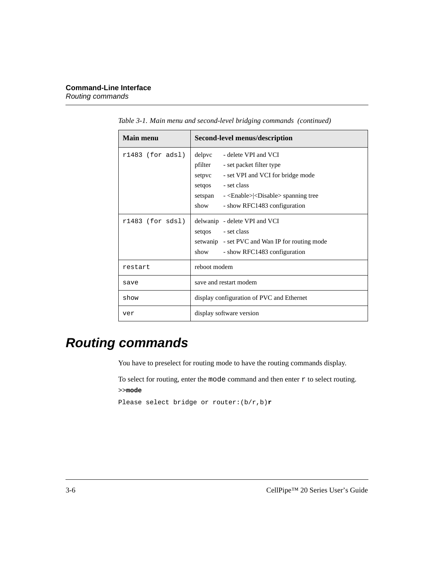| <b>Main menu</b>   | Second-level menus/description                                    |  |
|--------------------|-------------------------------------------------------------------|--|
| $r1483$ (for adsl) | delpvc<br>- delete VPI and VCI                                    |  |
|                    | pfilter<br>- set packet filter type                               |  |
|                    | - set VPI and VCI for bridge mode<br>setpvc                       |  |
|                    | - set class<br>setgos                                             |  |
|                    | - <enable> <disable> spanning tree<br/>setspan</disable></enable> |  |
|                    | show<br>- show RFC1483 configuration                              |  |
| $r1483$ (for sdsl) | delwanip - delete VPI and VCI                                     |  |
|                    | setgos - set class                                                |  |
|                    | setwanip - set PVC and Wan IP for routing mode                    |  |
|                    | show<br>- show RFC1483 configuration                              |  |
| restart            | reboot modem                                                      |  |
| save               | save and restart modem                                            |  |
| show               | display configuration of PVC and Ethernet                         |  |
| ver                | display software version                                          |  |

*Table 3-1. Main menu and second-level bridging commands (continued)*

### <span id="page-27-0"></span>**Routing commands**

You have to preselect for routing mode to have the routing commands display.

To select for routing, enter the mode command and then enter  $r$  to select routing. >>**mode**

Please select bridge or router:(b/r,b)**r**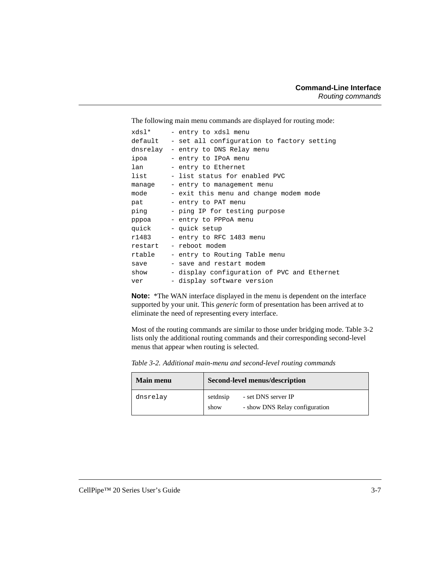The following main menu commands are displayed for routing mode:

| *dsl    | - entry to xdsl menu                        |
|---------|---------------------------------------------|
| default | - set all configuration to factory setting  |
|         | dnsrelay - entry to DNS Relay menu          |
| ipoa    | - entry to IPoA menu                        |
| lan     | - entry to Ethernet                         |
| list    | - list status for enabled PVC               |
| manage  | - entry to management menu                  |
| mode    | - exit this menu and change modem mode      |
| pat     | - entry to PAT menu                         |
| ping    | - ping IP for testing purpose               |
| pppoa   | - entry to PPPoA menu                       |
| quick   | - quick setup                               |
| r1483   | - entry to RFC 1483 menu                    |
| restart | - reboot modem                              |
| rtable  | - entry to Routing Table menu               |
| save    | - save and restart modem                    |
| show    | - display configuration of PVC and Ethernet |
| ver     | - display software version                  |

**Note:** \*The WAN interface displayed in the menu is dependent on the interface supported by your unit. This *generic* form of presentation has been arrived at to eliminate the need of representing every interface.

Most of the routing commands are similar to those under bridging mode. [Table 3-2](#page-28-0) lists only the additional routing commands and their corresponding second-level menus that appear when routing is selected.

| <b>Main menu</b> | Second-level menus/description |                                                       |
|------------------|--------------------------------|-------------------------------------------------------|
| dnsrelay         | setdnsip<br>show               | - set DNS server IP<br>- show DNS Relay configuration |

<span id="page-28-0"></span>*Table 3-2. Additional main-menu and second-level routing commands*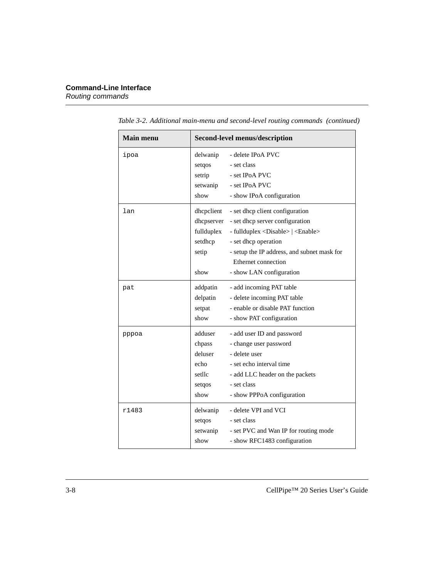| <b>Main menu</b> | <b>Second-level menus/description</b>                              |                                                                                                                                                                                                                                                          |
|------------------|--------------------------------------------------------------------|----------------------------------------------------------------------------------------------------------------------------------------------------------------------------------------------------------------------------------------------------------|
| ipoa             | delwanip<br>setqos<br>setrip<br>setwanip<br>show                   | - delete IPoA PVC<br>- set class<br>- set IPoA PVC<br>- set IPoA PVC<br>- show IPoA configuration                                                                                                                                                        |
| lan              | dhepelient<br>dhcpserver<br>fullduplex<br>setdhcp<br>setip<br>show | - set dhcp client configuration<br>- set dhcp server configuration<br>- fullduplex <disable>   <enable><br/>- set dhcp operation<br/>- setup the IP address, and subnet mask for<br/>Ethernet connection<br/>- show LAN configuration</enable></disable> |
| pat              | addpatin<br>delpatin<br>setpat<br>show                             | - add incoming PAT table<br>- delete incoming PAT table<br>- enable or disable PAT function<br>- show PAT configuration                                                                                                                                  |
| pppoa            | adduser<br>chpass<br>deluser<br>echo<br>setllc<br>setgos<br>show   | - add user ID and password<br>- change user password<br>- delete user<br>- set echo interval time<br>- add LLC header on the packets<br>- set class<br>- show PPPoA configuration                                                                        |
| r1483            | delwanip<br>setqos<br>setwanip<br>show                             | - delete VPI and VCI<br>- set class<br>- set PVC and Wan IP for routing mode<br>- show RFC1483 configuration                                                                                                                                             |

*Table 3-2. Additional main-menu and second-level routing commands (continued)*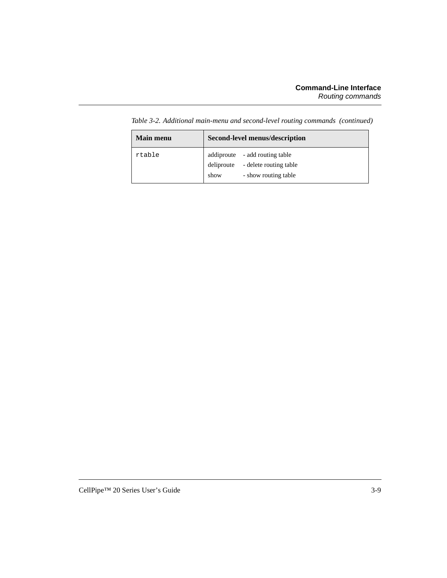| <b>Main menu</b> | <b>Second-level menus/description</b>                                       |                      |
|------------------|-----------------------------------------------------------------------------|----------------------|
| rtable           | addiproute - add routing table<br>deliproute - delete routing table<br>show | - show routing table |

*Table 3-2. Additional main-menu and second-level routing commands (continued)*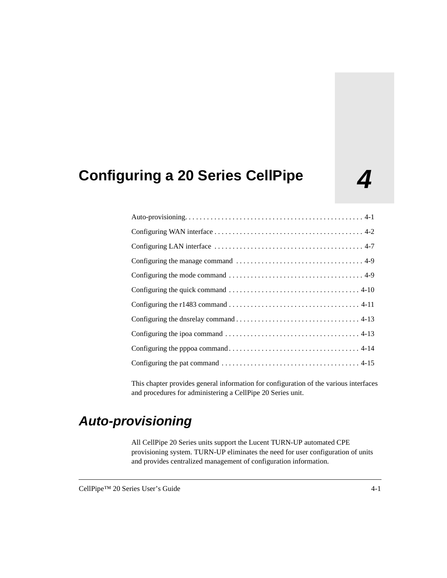## <span id="page-32-0"></span>**4 Configuring a 20 Series CellPipe**

This chapter provides general information for configuration of the various interfaces and procedures for administering a CellPipe 20 Series unit.

### <span id="page-32-1"></span>**Auto-provisioning**

All CellPipe 20 Series units support the Lucent TURN-UP automated CPE provisioning system. TURN-UP eliminates the need for user configuration of units and provides centralized management of configuration information.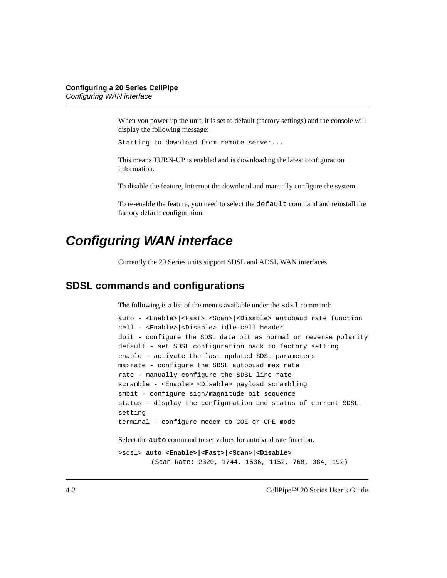When you power up the unit, it is set to default (factory settings) and the console will display the following message:

Starting to download from remote server...

This means TURN-UP is enabled and is downloading the latest configuration information.

To disable the feature, interrupt the download and manually configure the system.

To re-enable the feature, you need to select the default command and reinstall the factory default configuration.

### <span id="page-33-0"></span>**Configuring WAN interface**

Currently the 20 Series units support SDSL and ADSL WAN interfaces.

#### <span id="page-33-1"></span>**SDSL commands and configurations**

The following is a list of the menus available under the sds1 command:

```
auto - <Enable>|<Fast>|<Scan>|<Disable> autobaud rate function
cell - <Enable>|<Disable> idle-cell header
dbit - configure the SDSL data bit as normal or reverse polarity
default - set SDSL configuration back to factory setting
enable - activate the last updated SDSL parameters
maxrate - configure the SDSL autobuad max rate
rate - manually configure the SDSL line rate
scramble - <Enable>|<Disable> payload scrambling
smbit - configure sign/magnitude bit sequence
status - display the configuration and status of current SDSL 
setting
terminal - configure modem to COE or CPE mode
```
Select the auto command to set values for autobaud rate function.

```
>sdsl> auto <Enable>|<Fast>|<Scan>|<Disable>
        (Scan Rate: 2320, 1744, 1536, 1152, 768, 384, 192)
```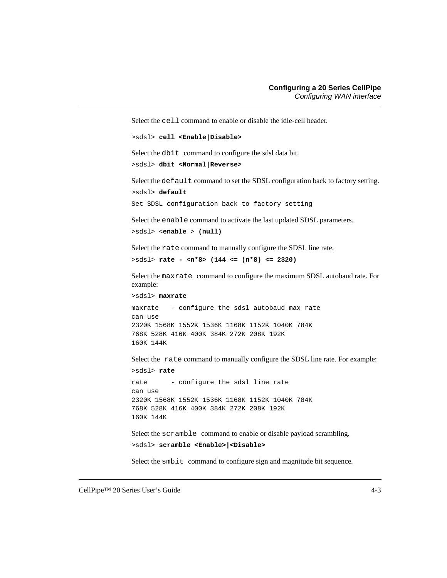Select the cell command to enable or disable the idle-cell header.

```
>sdsl> cell <Enable|Disable>
```
Select the dbit command to configure the sdsl data bit.

```
>sdsl> dbit <Normal|Reverse>
```
Select the default command to set the SDSL configuration back to factory setting. >sdsl> **default**

```
Set SDSL configuration back to factory setting
```
Select the enable command to activate the last updated SDSL parameters.

```
>sdsl> <enable > (null)
```
Select the rate command to manually configure the SDSL line rate.

```
>sdsl> rate - <n*8> (144 <= (n*8) <= 2320)
```
Select the maxrate command to configure the maximum SDSL autobaud rate. For example:

```
>sdsl> maxrate
```
maxrate - configure the sdsl autobaud max rate can use 2320K 1568K 1552K 1536K 1168K 1152K 1040K 784K 768K 528K 416K 400K 384K 272K 208K 192K 160K 144K

Select the rate command to manually configure the SDSL line rate. For example:

```
>sdsl> rate
```

```
rate - configure the sdsl line rate
can use
2320K 1568K 1552K 1536K 1168K 1152K 1040K 784K
768K 528K 416K 400K 384K 272K 208K 192K
160K 144K
```
Select the scramble command to enable or disable payload scrambling.

```
>sdsl> scramble <Enable>|<Disable>
```
Select the smbit command to configure sign and magnitude bit sequence.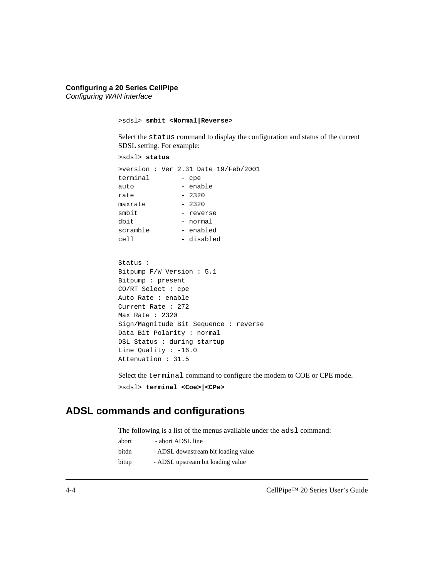```
>sdsl> smbit <Normal|Reverse>
```
Select the status command to display the configuration and status of the current SDSL setting. For example:

```
>sdsl> status
>version : Ver 2.31 Date 19/Feb/2001
terminal - cpe
auto - enable
rate - 2320
maxrate - 2320
smbit - reverse
dbit - normal
scramble - enabled
cell - disabled
```

```
Status :
Bitpump F/W Version : 5.1
Bitpump : present
CO/RT Select : cpe
Auto Rate : enable
Current Rate : 272
Max Rate : 2320
Sign/Magnitude Bit Sequence : reverse
Data Bit Polarity : normal
DSL Status : during startup
Line Quality : -16.0
Attenuation : 31.5
```
Select the terminal command to configure the modem to COE or CPE mode. >sdsl> **terminal <Coe>|<CPe>**

#### <span id="page-35-0"></span>**ADSL commands and configurations**

The following is a list of the menus available under the adsl command:

| abort | - abort ADSL line                   |
|-------|-------------------------------------|
| bitdn | - ADSL downstream bit loading value |
| bitup | - ADSL upstream bit loading value   |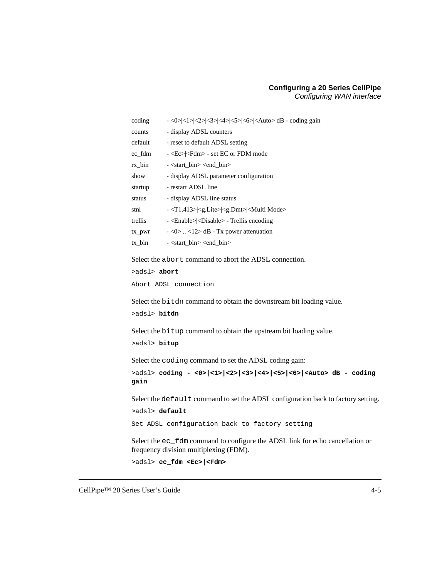| coding     | $-$ <0> <1> <2> <3> <4> <5> <6>  <auto> dB - coding gain</auto>               |
|------------|-------------------------------------------------------------------------------|
| counts     | - display ADSL counters                                                       |
| default    | - reset to default ADSL setting                                               |
| ec_fdm     | - <ec> <fdm> - set EC or FDM mode</fdm></ec>                                  |
| rx bin     | $-$ <start bin=""> <end bin=""></end></start>                                 |
| show       | - display ADSL parameter configuration                                        |
| startup    | - restart ADSL line                                                           |
| status     | - display ADSL line status                                                    |
| stnl       | - <t1.413> <g.lite> <g.dmt> <multi mode=""></multi></g.dmt></g.lite></t1.413> |
| trellis    | - <enable> <disable> - Trellis encoding</disable></enable>                    |
| $tx_1$ pwr | $-\langle 0 \rangle$ $\langle 12 \rangle$ dB - Tx power attenuation           |
| tx bin     | $-$ <start bin=""> <end bin=""></end></start>                                 |

Select the abort command to abort the ADSL connection.

```
>adsl> abort
```
Abort ADSL connection

Select the bitdn command to obtain the downstream bit loading value.

```
>adsl> bitdn
```
Select the bitup command to obtain the upstream bit loading value.

```
>adsl> bitup
```
Select the coding command to set the ADSL coding gain:

```
>adsl> coding - <0>|<1>|<2>|<3>|<4>|<5>|<6>|<Auto> dB - coding 
gain
```
Select the default command to set the ADSL configuration back to factory setting.

>adsl> **default**

Set ADSL configuration back to factory setting

Select the ec\_fdm command to configure the ADSL link for echo cancellation or frequency division multiplexing (FDM).

```
>adsl> ec_fdm <Ec>|<Fdm>
```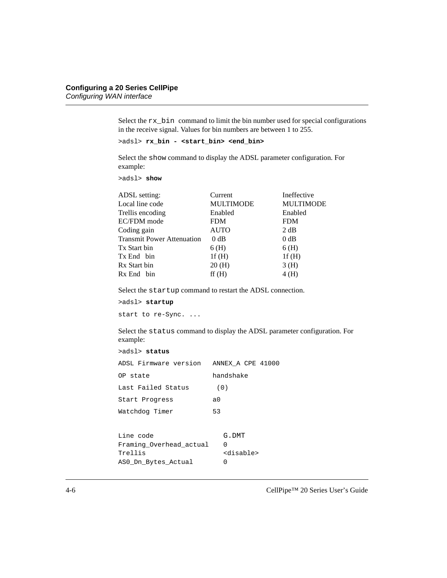Select the rx\_bin command to limit the bin number used for special configurations in the receive signal. Values for bin numbers are between 1 to 255.

```
>adsl> rx_bin - <start_bin> <end_bin>
```
Select the show command to display the ADSL parameter configuration. For example:

>adsl> **show**

| Current          | Ineffective      |
|------------------|------------------|
| <b>MULTIMODE</b> | <b>MULTIMODE</b> |
| Enabled          | Enabled          |
| <b>FDM</b>       | <b>FDM</b>       |
| <b>AUTO</b>      | 2 dB             |
| $0$ dB           | 0 dB             |
| 6(H)             | 6(H)             |
| 1f(H)            | 1f(H)            |
| 20(H)            | 3(H)             |
| ff(H)            | 4(H)             |
|                  |                  |

Select the startup command to restart the ADSL connection.

```
>adsl> startup
start to re-Sync. ...
```
Select the status command to display the ADSL parameter configuration. For example:

```
>adsl> status
ADSL Firmware version ANNEX_A CPE 41000
OP state handshake
Last Failed Status (0)
Start Progress a0
Watchdog Timer 53
```

| Line code               | G.DMT               |
|-------------------------|---------------------|
| Framing Overhead actual |                     |
| Trellis                 | <disable></disable> |
| ASO Dn Bytes Actual     | $^{\prime}$         |
|                         |                     |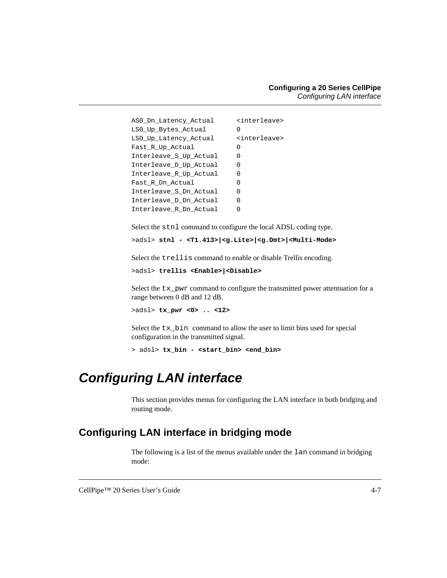| AS0 Dn Latency Actual  | <interleave></interleave> |
|------------------------|---------------------------|
| LS0 Up Bytes Actual    | $\left( \right)$          |
| LS0 Up Latency Actual  | <interleave></interleave> |
| Fast R Up Actual       | O                         |
| Interleave S Up Actual | O                         |
| Interleave D Up Actual | O                         |
| Interleave R Up Actual | $\left( \right)$          |
| Fast R Dn Actual       | O                         |
| Interleave S Dn Actual | O                         |
| Interleave D Dn Actual | $\left( \right)$          |
| Interleave R Dn Actual |                           |

Select the stnl command to configure the local ADSL coding type.

>adsl> **stnl - <T1.413>|<g.Lite>|<g.Dmt>|<Multi-Mode>**

Select the trellis command to enable or disable Trellis encoding.

```
>adsl> trellis <Enable>|<Disable>
```
Select the tx\_pwr command to configure the transmitted power attentuation for a range between 0 dB and 12 dB.

>adsl> **tx\_pwr <0> .. <12>** 

Select the tx\_bin command to allow the user to limit bins used for special configuration in the transmitted signal.

```
> adsl> tx_bin - <start_bin> <end_bin>
```
### <span id="page-38-0"></span>**Configuring LAN interface**

This section provides menus for configuring the LAN interface in both bridging and routing mode.

#### <span id="page-38-1"></span>**Configuring LAN interface in bridging mode**

The following is a list of the menus available under the lan command in bridging mode: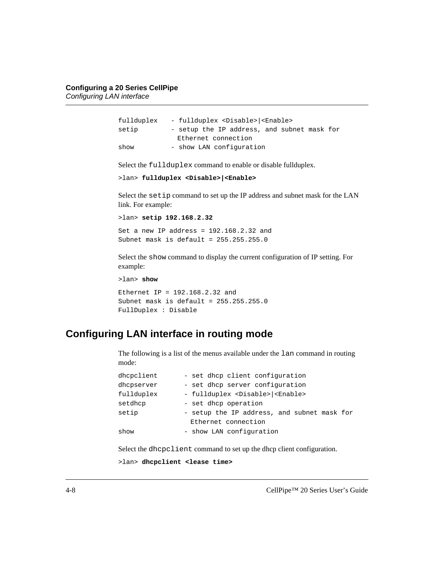| fullduplex | - fullduplex <disable> <enable></enable></disable> |
|------------|----------------------------------------------------|
| setip      | - setup the IP address, and subnet mask for        |
|            | Ethernet connection                                |
| show       | - show LAN configuration                           |

Select the fullduplex command to enable or disable fullduplex.

```
>lan> fullduplex <Disable>|<Enable>
```
Select the setip command to set up the IP address and subnet mask for the LAN link. For example:

```
>lan> setip 192.168.2.32 
Set a new IP address = 192.168.2.32 and
Subnet mask is default = 255.255.255.0
```
Select the show command to display the current configuration of IP setting. For example:

>lan> **show** Ethernet IP = 192.168.2.32 and Subnet mask is default =  $255.255.255.0$ FullDuplex : Disable

#### <span id="page-39-0"></span>**Configuring LAN interface in routing mode**

The following is a list of the menus available under the lan command in routing mode:

| dhcpclient | - set dhcp client configuration                    |
|------------|----------------------------------------------------|
| dhcpserver | - set dhcp server configuration                    |
| fullduplex | - fullduplex <disable> <enable></enable></disable> |
| setdhcp    | - set dhcp operation                               |
| setip      | - setup the IP address, and subnet mask for        |
|            | Ethernet connection                                |
| show       | - show LAN configuration                           |

Select the dhcpclient command to set up the dhcp client configuration.

>lan> **dhcpclient <lease time>**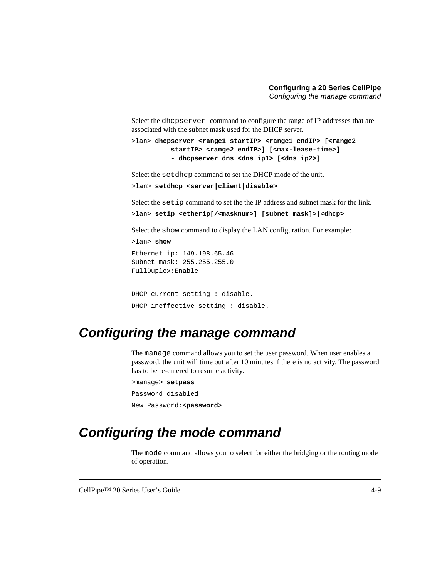Select the dhcpserver command to configure the range of IP addresses that are associated with the subnet mask used for the DHCP server.

```
>lan> dhcpserver <range1 startIP> <range1 endIP> [<range2 
          startIP> <range2 endIP>] [<max-lease-time>]
          - dhcpserver dns <dns ip1> [<dns ip2>]
```
Select the setdhcp command to set the DHCP mode of the unit.

```
>lan> setdhcp <server|client|disable>
```
Select the setip command to set the the IP address and subnet mask for the link.

>lan> **setip <etherip[/<masknum>] [subnet mask]>|<dhcp>**

Select the show command to display the LAN configuration. For example:

```
>lan> show 
Ethernet ip: 149.198.65.46
Subnet mask: 255.255.255.0
FullDuplex:Enable
```

```
DHCP current setting : disable.
DHCP ineffective setting : disable.
```
### <span id="page-40-0"></span>**Configuring the manage command**

The manage command allows you to set the user password. When user enables a password, the unit will time out after 10 minutes if there is no activity. The password has to be re-entered to resume activity.

```
>manage> setpass
Password disabled
New Password:<password>
```
### <span id="page-40-1"></span>**Configuring the mode command**

The mode command allows you to select for either the bridging or the routing mode of operation.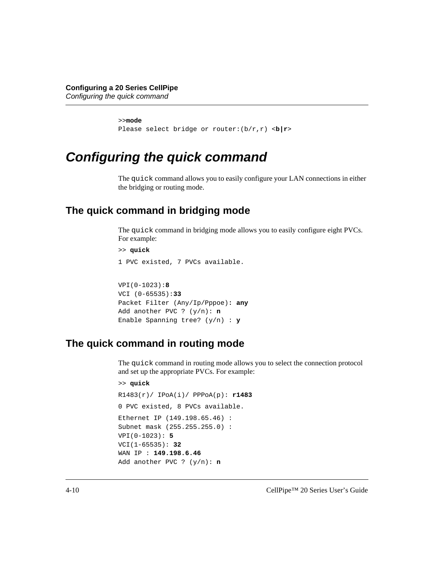```
>>mode
Please select bridge or router:(b/r,r) <b|r>
```
### <span id="page-41-0"></span>**Configuring the quick command**

The quick command allows you to easily configure your LAN connections in either the bridging or routing mode.

#### <span id="page-41-1"></span>**The quick command in bridging mode**

The quick command in bridging mode allows you to easily configure eight PVCs. For example:

```
>> quick
1 PVC existed, 7 PVCs available.
VPI(0-1023):8
VCI (0-65535):33
Packet Filter (Any/Ip/Pppoe): any
Add another PVC ? (y/n): n
Enable Spanning tree? (y/n) : y
```
#### <span id="page-41-2"></span>**The quick command in routing mode**

The quick command in routing mode allows you to select the connection protocol and set up the appropriate PVCs. For example:

```
>> quick
R1483(r)/ IPoA(i)/ PPPoA(p): r1483
0 PVC existed, 8 PVCs available.
Ethernet IP (149.198.65.46) :
Subnet mask (255.255.255.0) :
VPI(0-1023): 5
VCI(1-65535): 32
WAN IP : 149.198.6.46
Add another PVC ? (y/n): n
```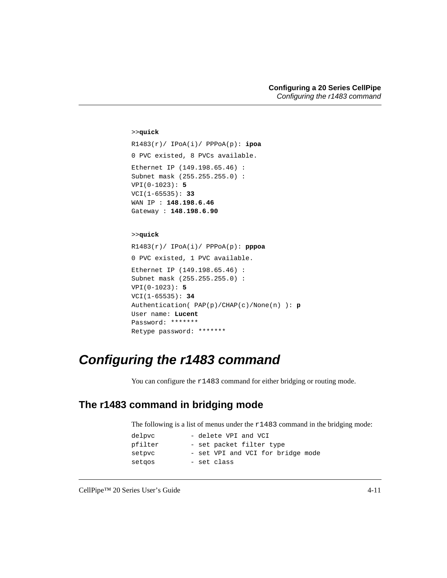```
>>quick
R1483(r)/ IPoA(i)/ PPPoA(p): ipoa
0 PVC existed, 8 PVCs available.
Ethernet IP (149.198.65.46) :
Subnet mask (255.255.255.0) :
VPI(0-1023): 5
VCI(1-65535): 33
WAN IP : 148.198.6.46
Gateway : 148.198.6.90
>>quick
```

```
R1483(r)/ IPoA(i)/ PPPoA(p): pppoa
0 PVC existed, 1 PVC available.
Ethernet IP (149.198.65.46) :
Subnet mask (255.255.255.0) :
VPI(0-1023): 5
VCI(1-65535): 34
Authentication( PAP(p)/CHAP(c)/None(n) ): p
User name: Lucent
Password: *******
Retype password: *******
```
### <span id="page-42-0"></span>**Configuring the r1483 command**

You can configure the  $r1483$  command for either bridging or routing mode.

#### <span id="page-42-1"></span>**The r1483 command in bridging mode**

The following is a list of menus under the  $r1483$  command in the bridging mode:

| delpvc  | - delete VPI and VCI              |
|---------|-----------------------------------|
| pfilter | - set packet filter type          |
| setpvc  | - set VPI and VCI for bridge mode |
| setgos  | - set class                       |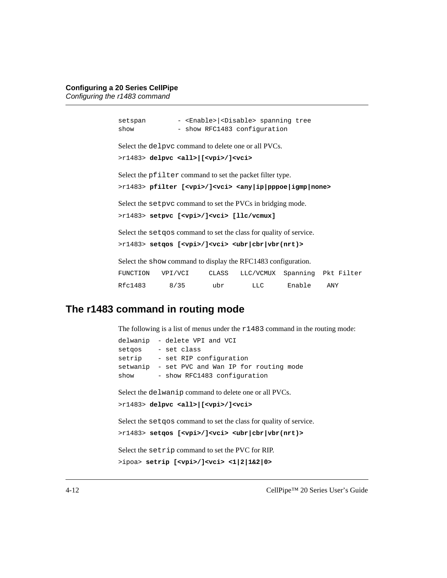setspan - <Enable> <Disable> spanning tree show - show RFC1483 configuration Select the delpvc command to delete one or all PVCs. >r1483> **delpvc <all>|[<vpi>/]<vci>** Select the pfilter command to set the packet filter type. >r1483> **pfilter [<vpi>/]<vci> <any|ip|pppoe|igmp|none>** Select the setpvc command to set the PVCs in bridging mode. >r1483> **setpvc [<vpi>/]<vci> [llc/vcmux]** Select the setqos command to set the class for quality of service. >r1483> **setqos [<vpi>/]<vci> <ubr|cbr|vbr(nrt)>** Select the show command to display the RFC1483 configuration. FUNCTION VPI/VCI CLASS LLC/VCMUX Spanning Pkt Filter Rfc1483 8/35 ubr LLC Enable ANY

#### <span id="page-43-0"></span>**The r1483 command in routing mode**

The following is a list of menus under the  $r1483$  command in the routing mode:

```
delwanip - delete VPI and VCI
setgos - set class
setrip - set RIP configuration
setwanip - set PVC and Wan IP for routing mode
show - show RFC1483 configuration
Select the delwanip command to delete one or all PVCs.
>r1483> delpvc <all>|[<vpi>/]<vci>
Select the set qos command to set the class for quality of service.
>r1483> setqos [<vpi>/]<vci> <ubr|cbr|vbr(nrt)>
Select the setrip command to set the PVC for RIP.
>ipoa> setrip [<vpi>/]<vci> <1|2|1&2|0>
```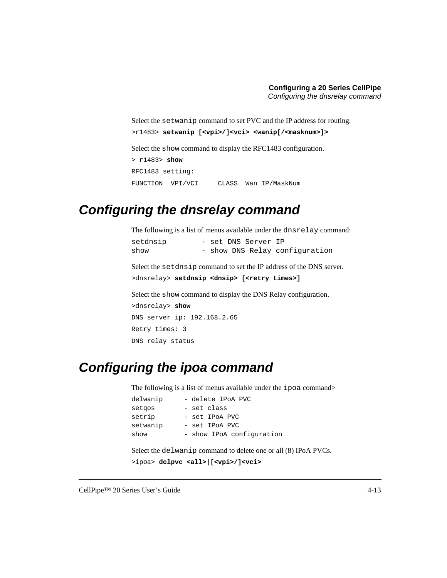Select the setwanip command to set PVC and the IP address for routing.

```
>r1483> setwanip [<vpi>/]<vci> <wanip[/<masknum>]>
```
Select the show command to display the RFC1483 configuration.

```
> r1483> show
RFC1483 setting:
FUNCTION VPI/VCI CLASS Wan IP/MaskNum
```
#### <span id="page-44-0"></span>**Configuring the dnsrelay command**

The following is a list of menus available under the dnsrelay command:

| setdnsip | - set DNS Server IP |  |                                |
|----------|---------------------|--|--------------------------------|
| show     |                     |  | - show DNS Relay configuration |

Select the setdnsip command to set the IP address of the DNS server.

```
>dnsrelay> setdnsip <dnsip> [<retry times>]
```
Select the show command to display the DNS Relay configuration.

```
>dnsrelay> show
DNS server ip: 192.168.2.65
Retry times: 3
DNS relay status
```
#### <span id="page-44-1"></span>**Configuring the ipoa command**

The following is a list of menus available under the ipoa command>

| delwanip | - delete IPoA PVC         |
|----------|---------------------------|
| setgos   | - set class               |
| setrip   | - set IPoA PVC            |
| setwanip | - set IPoA PVC            |
| show     | - show IPoA configuration |

Select the delwanip command to delete one or all (8) IPoA PVCs.

```
>ipoa> delpvc <all>|[<vpi>/]<vci>
```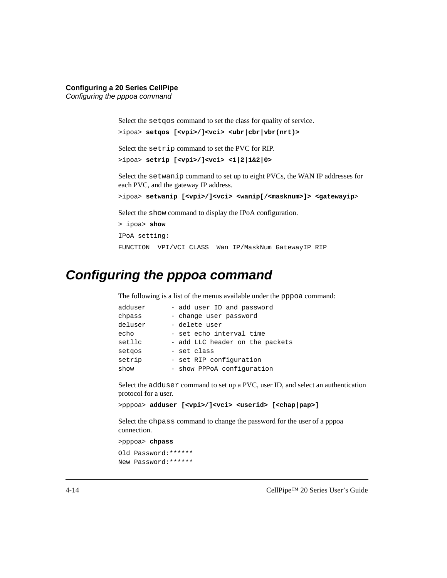Select the setqos command to set the class for quality of service.

```
>ipoa> setqos [<vpi>/]<vci> <ubr|cbr|vbr(nrt)>
```
Select the setrip command to set the PVC for RIP.

```
>ipoa> setrip [<vpi>/]<vci> <1|2|1&2|0>
```
Select the setwanip command to set up to eight PVCs, the WAN IP addresses for each PVC, and the gateway IP address.

```
>ipoa> setwanip [<vpi>/]<vci> <wanip[/<masknum>]> <gatewayip>
```
Select the show command to display the IPoA configuration.

```
> ipoa> show
IPoA setting:
FUNCTION VPI/VCI CLASS Wan IP/MaskNum GatewayIP RIP
```
### <span id="page-45-0"></span>**Configuring the pppoa command**

The following is a list of the menus available under the pppoa command:

| adduser | - add user ID and password      |
|---------|---------------------------------|
| chpass  | - change user password          |
| deluser | - delete user                   |
| echo    | - set echo interval time        |
| setllc  | - add LLC header on the packets |
| setgos  | - set class                     |
| setrip  | - set RIP configuration         |
| show    | - show PPPoA configuration      |

Select the adduser command to set up a PVC, user ID, and select an authentication protocol for a user.

```
>pppoa> adduser [<vpi>/]<vci> <userid> [<chap|pap>]
```
Select the chpass command to change the password for the user of a pppoa connection.

```
>pppoa> chpass
Old Password:******
New Password:******
```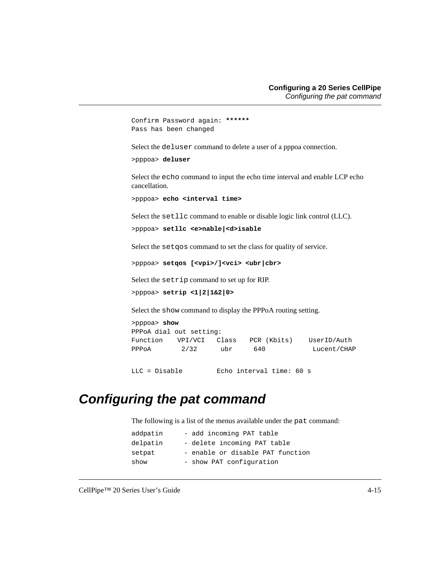```
Confirm Password again: ******
Pass has been changed
```
Select the deluser command to delete a user of a pppoa connection.

>pppoa> **deluser**

Select the echo command to input the echo time interval and enable LCP echo cancellation.

```
>pppoa> echo <interval time>
```
Select the setllc command to enable or disable logic link control (LLC).

```
>pppoa> setllc <e>nable|<d>isable
```
Select the setqos command to set the class for quality of service.

>pppoa> **setqos [<vpi>/]<vci> <ubr|cbr>**

Select the setrip command to set up for RIP.

```
>pppoa> setrip <1|2|1&2|0>
```
Select the show command to display the PPPoA routing setting.

| $>$ pppoa $>$ show      |         |       |             |             |  |
|-------------------------|---------|-------|-------------|-------------|--|
| PPPoA dial out setting: |         |       |             |             |  |
| Function                | VPI/VCI | Class | PCR (Kbits) | UserID/Auth |  |
| PPPOA                   | 2/32    | ubr   | 640         | Lucent/CHAP |  |

LLC = Disable Echo interval time: 60 s

#### <span id="page-46-0"></span>**Configuring the pat command**

The following is a list of the menus available under the pat command:

| addpatin | - add incoming PAT table         |
|----------|----------------------------------|
| delpatin | - delete incoming PAT table      |
| setpat   | - enable or disable PAT function |
| show     | - show PAT configuration         |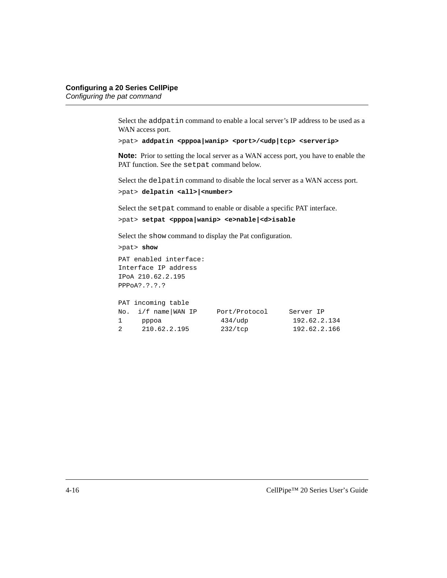Select the addpatin command to enable a local server's IP address to be used as a WAN access port.

```
>pat> addpatin <pppoa|wanip> <port>/<udp|tcp> <serverip>
```
**Note:** Prior to setting the local server as a WAN access port, you have to enable the PAT function. See the setpat command below.

Select the delpatin command to disable the local server as a WAN access port.

```
>pat> delpatin <all>|<number>
```
Select the setpat command to enable or disable a specific PAT interface.

```
>pat> setpat <pppoa|wanip> <e>nable|<d>isable
```
Select the show command to display the Pat configuration.

```
>pat> show
PAT enabled interface:
Interface IP address
IPoA 210.62.2.195
PPPoA?.?.?.?
```

|              | PAT incoming table    |                  |              |
|--------------|-----------------------|------------------|--------------|
|              | No. $i/f$ name WAN IP | Port/Protocol    | Server IP    |
| $\mathbf{1}$ | pppoa                 | $434/\text{udp}$ | 192.62.2.134 |
| 2            | 210.62.2.195          | 232/tcp          | 192.62.2.166 |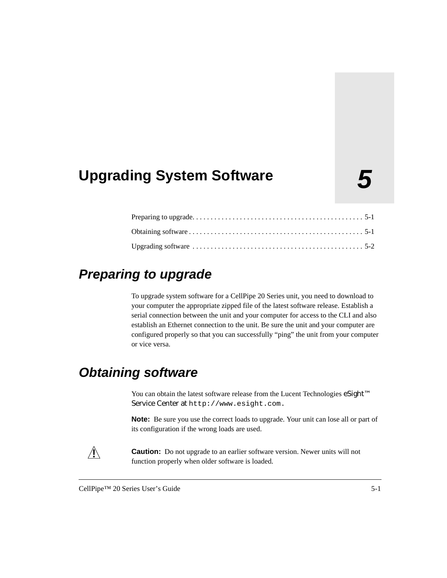## <span id="page-48-0"></span>**5 Upgrading System Software**

### <span id="page-48-1"></span>**Preparing to upgrade**

To upgrade system software for a CellPipe 20 Series unit, you need to download to your computer the appropriate zipped file of the latest software release. Establish a serial connection between the unit and your computer for access to the CLI and also establish an Ethernet connection to the unit. Be sure the unit and your computer are configured properly so that you can successfully "ping" the unit from your computer or vice versa.

### <span id="page-48-2"></span>**Obtaining software**

You can obtain the latest software release from the Lucent Technologies eSight™ Service Center at http://www.esight.com.

**Note:** Be sure you use the correct loads to upgrade. Your unit can lose all or part of its configuration if the wrong loads are used.



**Caution:** Do not upgrade to an earlier software version. Newer units will not function properly when older software is loaded.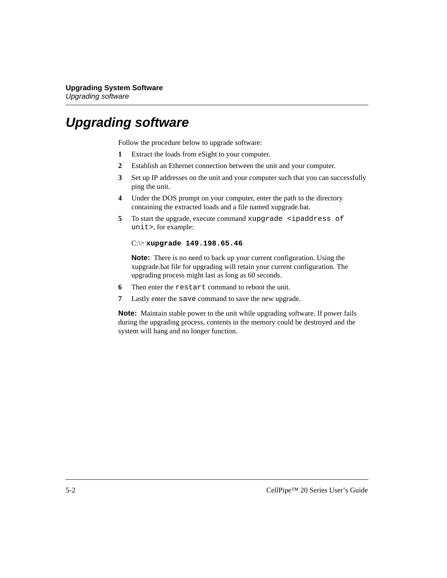### <span id="page-49-0"></span>**Upgrading software**

Follow the procedure below to upgrade software:

- **1** Extract the loads from eSight to your computer.
- **2** Establish an Ethernet connection between the unit and your computer.
- **3** Set up IP addresses on the unit and your computer such that you can successfully ping the unit.
- **4** Under the DOS prompt on your computer, enter the path to the directory containing the extracted loads and a file named xupgrade.bat.
- **5** To start the upgrade, execute command xupgrade  $\le$ ipaddress of unit>, for example:

#### C:\> **xupgrade 149.198.65.46**

**Note:** There is no need to back up your current configuration. Using the xupgrade.bat file for upgrading will retain your current configuration. The upgrading process might last as long as 60 seconds.

- **6** Then enter the restart command to reboot the unit.
- **7** Lastly enter the save command to save the new upgrade.

**Note:** Maintain stable power to the unit while upgrading software. If power fails during the upgrading process, contents in the memory could be destroyed and the system will hang and no longer function.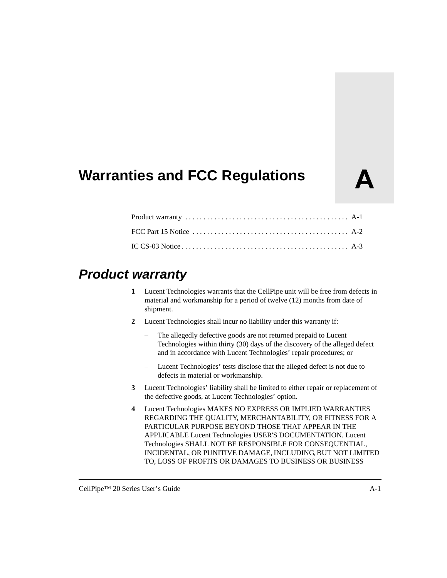## <span id="page-50-0"></span>**Warranties and FCC Regulations**

### <span id="page-50-1"></span>**Product warranty**

- **1** Lucent Technologies warrants that the CellPipe unit will be free from defects in material and workmanship for a period of twelve (12) months from date of shipment.
- **2** Lucent Technologies shall incur no liability under this warranty if:
	- The allegedly defective goods are not returned prepaid to Lucent Technologies within thirty (30) days of the discovery of the alleged defect and in accordance with Lucent Technologies' repair procedures; or
	- Lucent Technologies' tests disclose that the alleged defect is not due to defects in material or workmanship.
- **3** Lucent Technologies' liability shall be limited to either repair or replacement of the defective goods, at Lucent Technologies' option.
- **4** Lucent Technologies MAKES NO EXPRESS OR IMPLIED WARRANTIES REGARDING THE QUALITY, MERCHANTABILITY, OR FITNESS FOR A PARTICULAR PURPOSE BEYOND THOSE THAT APPEAR IN THE APPLICABLE Lucent Technologies USER'S DOCUMENTATION. Lucent Technologies SHALL NOT BE RESPONSIBLE FOR CONSEQUENTIAL, INCIDENTAL, OR PUNITIVE DAMAGE, INCLUDING, BUT NOT LIMITED TO, LOSS OF PROFITS OR DAMAGES TO BUSINESS OR BUSINESS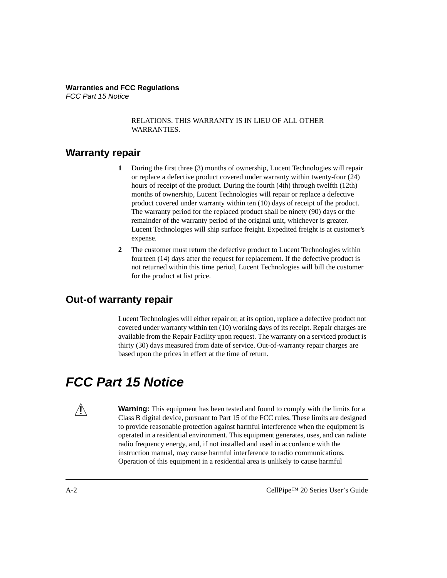RELATIONS. THIS WARRANTY IS IN LIEU OF ALL OTHER WARRANTIES.

#### <span id="page-51-0"></span>**Warranty repair**

- **1** During the first three (3) months of ownership, Lucent Technologies will repair or replace a defective product covered under warranty within twenty-four (24) hours of receipt of the product. During the fourth (4th) through twelfth (12th) months of ownership, Lucent Technologies will repair or replace a defective product covered under warranty within ten (10) days of receipt of the product. The warranty period for the replaced product shall be ninety (90) days or the remainder of the warranty period of the original unit, whichever is greater. Lucent Technologies will ship surface freight. Expedited freight is at customer's expense.
- **2** The customer must return the defective product to Lucent Technologies within fourteen (14) days after the request for replacement. If the defective product is not returned within this time period, Lucent Technologies will bill the customer for the product at list price.

#### <span id="page-51-1"></span>**Out-of warranty repair**

Lucent Technologies will either repair or, at its option, replace a defective product not covered under warranty within ten (10) working days of its receipt. Repair charges are available from the Repair Facility upon request. The warranty on a serviced product is thirty (30) days measured from date of service. Out-of-warranty repair charges are based upon the prices in effect at the time of return.

### <span id="page-51-2"></span>**FCC Part 15 Notice**

**Warning:** This equipment has been tested and found to comply with the limits for a Class B digital device, pursuant to Part 15 of the FCC rules. These limits are designed to provide reasonable protection against harmful interference when the equipment is operated in a residential environment. This equipment generates, uses, and can radiate radio frequency energy, and, if not installed and used in accordance with the instruction manual, may cause harmful interference to radio communications. Operation of this equipment in a residential area is unlikely to cause harmful